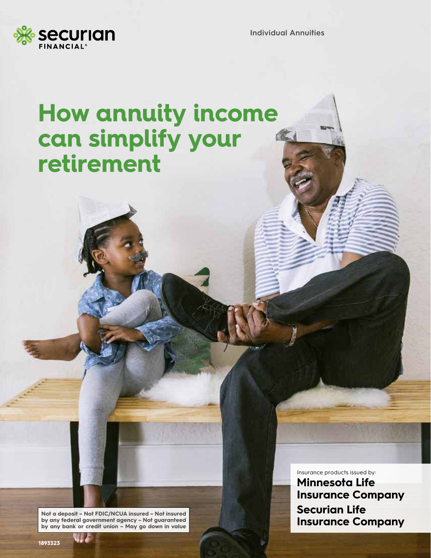

**Individual Annuities**

## **How annuity income can simplify your retirement**

**Not a deposit – Not FDIC/NCUA insured – Not insured by any federal government agency – Not guaranteed by any bank or credit union – May go down in value**

Insurance products issued by: **Minnesota Life Insurance Company Securian Life Insurance Company**

**1893323**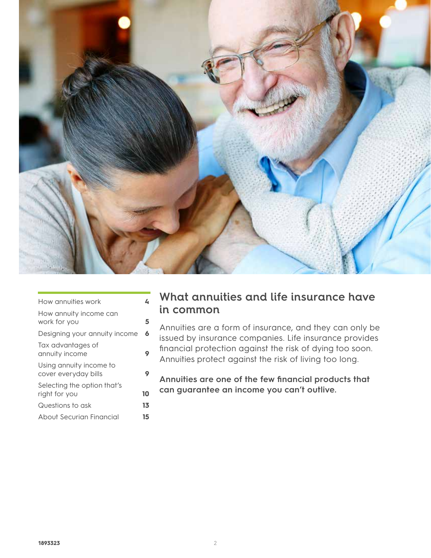

| How annuities work                              | 4  |
|-------------------------------------------------|----|
| How annuity income can<br>work for you          | 5  |
| Designing your annuity income                   | 6  |
| Tax advantages of<br>annuity income             | 9  |
| Using annuity income to<br>cover everyday bills | 9  |
| Selecting the option that's<br>right for you    | 10 |
| Questions to ask                                | 13 |
| About Securian Financial                        | 15 |
|                                                 |    |

### **What annuities and life insurance have in common**

Annuities are a form of insurance, and they can only be issued by insurance companies. Life insurance provides financial protection against the risk of dying too soon. Annuities protect against the risk of living too long.

**Annuities are one of the few financial products that can guarantee an income you can't outlive.**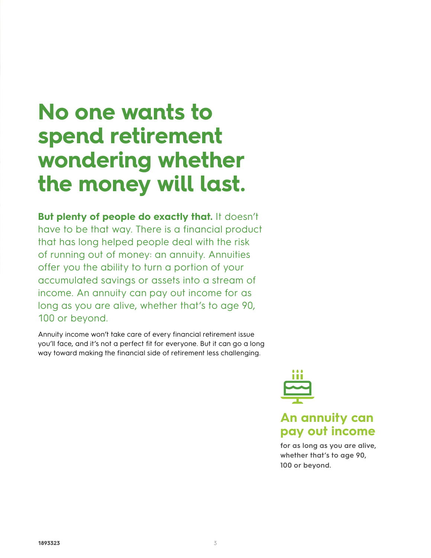## **No one wants to spend retirement wondering whether the money will last.**

**But plenty of people do exactly that.** It doesn't have to be that way. There is a financial product that has long helped people deal with the risk of running out of money: an annuity. Annuities offer you the ability to turn a portion of your accumulated savings or assets into a stream of income. An annuity can pay out income for as long as you are alive, whether that's to age 90, 100 or beyond.

Annuity income won't take care of every financial retirement issue you'll face, and it's not a perfect fit for everyone. But it can go a long way toward making the financial side of retirement less challenging.



### **An annuity can pay out income**

**for as long as you are alive, whether that's to age 90, 100 or beyond.**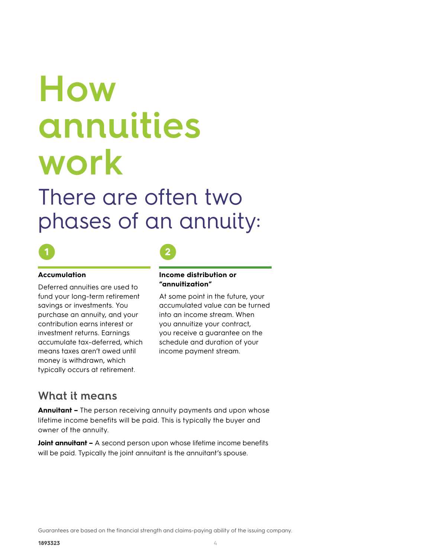# **How annuities work**

There are often two phases of an annuity:



### **Accumulation**

Deferred annuities are used to fund your long-term retirement savings or investments. You purchase an annuity, and your contribution earns interest or investment returns. Earnings accumulate tax-deferred, which means taxes aren't owed until money is withdrawn, which typically occurs at retirement.



#### **Income distribution or "annuitization"**

At some point in the future, your accumulated value can be turned into an income stream. When you annuitize your contract, you receive a guarantee on the schedule and duration of your income payment stream.

### **What it means**

**Annuitant –** The person receiving annuity payments and upon whose lifetime income benefits will be paid. This is typically the buyer and owner of the annuity.

**Joint annuitant –** A second person upon whose lifetime income benefits will be paid. Typically the joint annuitant is the annuitant's spouse.

Guarantees are based on the financial strength and claims-paying ability of the issuing company.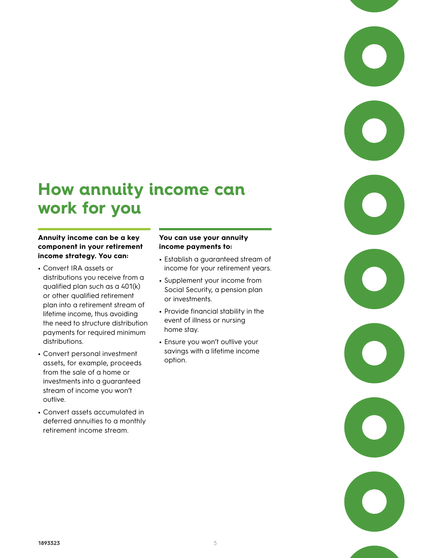### **How annuity income can work for you**

### **Annuity income can be a key component in your retirement income strategy. You can:**

- **•** Convert IRA assets or distributions you receive from a qualified plan such as a 401(k) or other qualified retirement plan into a retirement stream of lifetime income, thus avoiding the need to structure distribution payments for required minimum distributions.
- **•** Convert personal investment assets, for example, proceeds from the sale of a home or investments into a guaranteed stream of income you won't outlive.
- **•** Convert assets accumulated in deferred annuities to a monthly retirement income stream.

### **You can use your annuity income payments to:**

- **•** Establish a guaranteed stream of income for your retirement years.
- **•** Supplement your income from Social Security, a pension plan or investments.
- **•** Provide financial stability in the event of illness or nursing home stay.
- **•** Ensure you won't outlive your savings with a lifetime income option.

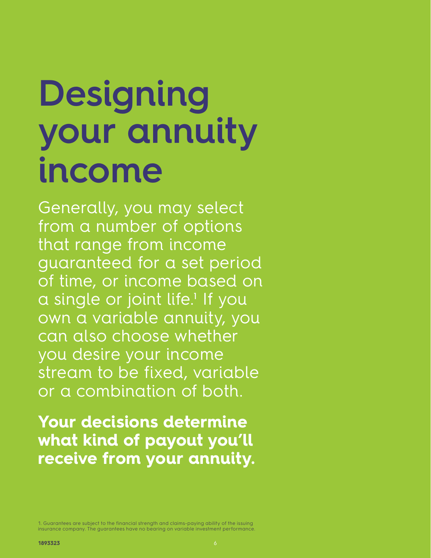# **Designing your annuity income**

Generally, you may select from a number of options that range from income guaranteed for a set period of time, or income based on a single or joint life.<sup>1</sup> If you own a variable annuity, you can also choose whether you desire your income stream to be fixed, variable or a combination of both.

**Your decisions determine what kind of payout you'll receive from your annuity.**

1. Guarantees are subject to the financial strength and claims-paying ability of the issuing insurance company. The guarantees have no bearing on variable investment performance.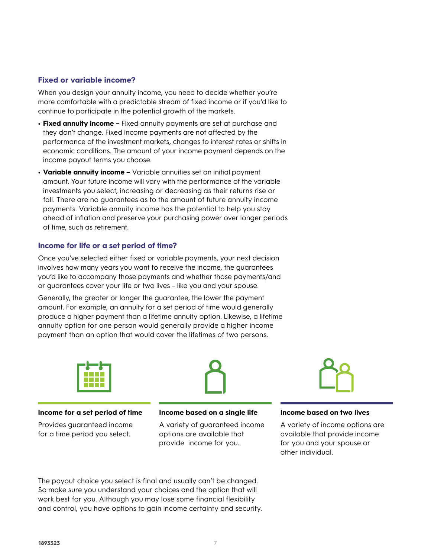#### **Fixed or variable income?**

When you design your annuity income, you need to decide whether you're more comfortable with a predictable stream of fixed income or if you'd like to continue to participate in the potential growth of the markets.

- **• Fixed annuity income** Fixed annuity payments are set at purchase and they don't change. Fixed income payments are not affected by the performance of the investment markets, changes to interest rates or shifts in economic conditions. The amount of your income payment depends on the income payout terms you choose.
- **• Variable annuity income –** Variable annuities set an initial payment amount. Your future income will vary with the performance of the variable investments you select, increasing or decreasing as their returns rise or fall. There are no guarantees as to the amount of future annuity income payments. Variable annuity income has the potential to help you stay ahead of inflation and preserve your purchasing power over longer periods of time, such as retirement.

#### **Income for life or a set period of time?**

Once you've selected either fixed or variable payments, your next decision involves how many years you want to receive the income, the guarantees you'd like to accompany those payments and whether those payments/and or guarantees cover your life or two lives – like you and your spouse.

Generally, the greater or longer the guarantee, the lower the payment amount. For example, an annuity for a set period of time would generally produce a higher payment than a lifetime annuity option. Likewise, a lifetime annuity option for one person would generally provide a higher income payment than an option that would cover the lifetimes of two persons.



#### **Income for a set period of time**

Provides guaranteed income for a time period you select.

**Income based on a single life** 

A variety of guaranteed income options are available that provide income for you.



#### **Income based on two lives**

A variety of income options are available that provide income for you and your spouse or other individual.

The payout choice you select is final and usually can't be changed. So make sure you understand your choices and the option that will work best for you. Although you may lose some financial flexibility and control, you have options to gain income certainty and security.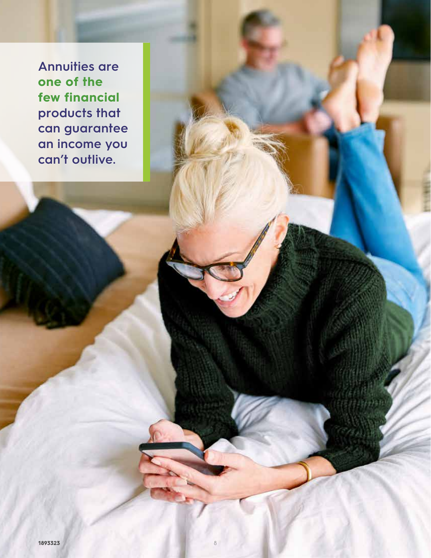**Annuities are one of the few financial products that can guarantee an income you can't outlive.**

8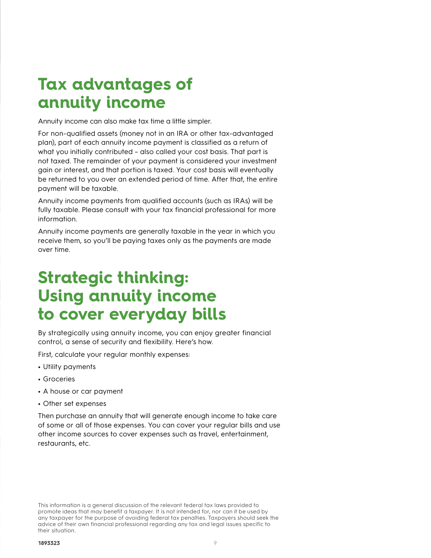### **Tax advantages of annuity income**

Annuity income can also make tax time a little simpler.

For non-qualified assets (money not in an IRA or other tax-advantaged plan), part of each annuity income payment is classified as a return of what you initially contributed – also called your cost basis. That part is not taxed. The remainder of your payment is considered your investment gain or interest, and that portion is taxed. Your cost basis will eventually be returned to you over an extended period of time. After that, the entire payment will be taxable.

Annuity income payments from qualified accounts (such as IRAs) will be fully taxable. Please consult with your tax financial professional for more information.

Annuity income payments are generally taxable in the year in which you receive them, so you'll be paying taxes only as the payments are made over time.

### **Strategic thinking: Using annuity income to cover everyday bills**

By strategically using annuity income, you can enjoy greater financial control, a sense of security and flexibility. Here's how.

First, calculate your regular monthly expenses:

- **•** Utility payments
- **•** Groceries
- **•** A house or car payment
- **•** Other set expenses

Then purchase an annuity that will generate enough income to take care of some or all of those expenses. You can cover your regular bills and use other income sources to cover expenses such as travel, entertainment, restaurants, etc.

This information is a general discussion of the relevant federal tax laws provided to promote ideas that may benefit a taxpayer. It is not intended for, nor can it be used by any taxpayer for the purpose of avoiding federal tax penalties. Taxpayers should seek the advice of their own financial professional regarding any tax and legal issues specific to their situation.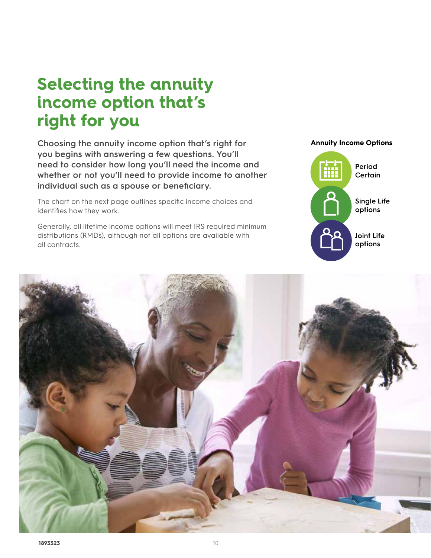### **Selecting the annuity income option that's right for you**

**Choosing the annuity income option that's right for you begins with answering a few questions. You'll need to consider how long you'll need the income and whether or not you'll need to provide income to another individual such as a spouse or beneficiary.** 

The chart on the next page outlines specific income choices and identifies how they work.

Generally, all lifetime income options will meet IRS required minimum distributions (RMDs), although not all options are available with all contracts.



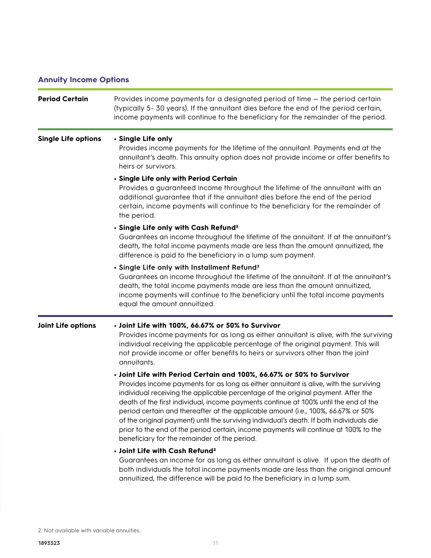### **Annuity Income Options**

| <b>Period Certain</b>      | Provides income payments for a designated period of time – the period certain<br>(typically 5-30 years). If the annuitant dies before the end of the period certain,<br>income payments will continue to the beneficiary for the remainder of the period.                                                                                                                                                                                                                                                                                                                                                                                                           |
|----------------------------|---------------------------------------------------------------------------------------------------------------------------------------------------------------------------------------------------------------------------------------------------------------------------------------------------------------------------------------------------------------------------------------------------------------------------------------------------------------------------------------------------------------------------------------------------------------------------------------------------------------------------------------------------------------------|
| <b>Single Life options</b> | · Single Life only<br>Provides income payments for the lifetime of the annuitant. Payments end at the<br>annuitant's death. This annuity option does not provide income or offer benefits to<br>heirs or survivors.                                                                                                                                                                                                                                                                                                                                                                                                                                                 |
|                            | • Single Life only with Period Certain<br>Provides a guaranteed income throughout the lifetime of the annuitant with an<br>additional guarantee that if the annuitant dies before the end of the period<br>certain, income payments will continue to the beneficiary for the remainder of<br>the period.                                                                                                                                                                                                                                                                                                                                                            |
|                            | · Single Life only with Cash Refund <sup>2</sup><br>Guarantees an income throughout the lifetime of the annuitant. If at the annuitant's<br>death, the total income payments made are less than the amount annuitized, the<br>difference is paid to the beneficiary in a lump sum payment.                                                                                                                                                                                                                                                                                                                                                                          |
|                            | · Single Life only with Installment Refund <sup>2</sup><br>Guarantees an income throughout the lifetime of the annuitant. If at the annuitant's<br>death, the total income payments made are less than the amount annuitized,<br>income payments will continue to the beneficiary until the total income payments<br>equal the amount annuitized.                                                                                                                                                                                                                                                                                                                   |
| Joint Life options         | · Joint Life with 100%, 66.67% or 50% to Survivor<br>Provides income payments for as long as either annuitant is alive, with the surviving<br>individual receiving the applicable percentage of the original payment. This will<br>not provide income or offer benefits to heirs or survivors other than the joint<br>annuitants.                                                                                                                                                                                                                                                                                                                                   |
|                            | . Joint Life with Period Certain and 100%, 66.67% or 50% to Survivor<br>Provides income payments for as long as either annuitant is alive, with the surviving<br>individual receiving the applicable percentage of the original payment. After the<br>death of the first individual, income payments continue at 100% until the end of the<br>period certain and thereafter at the applicable amount (i.e., 100%, 66.67% or 50%<br>of the original payment) until the surviving individual's death. If both individuals die<br>prior to the end of the period certain, income payments will continue at 100% to the<br>beneficiary for the remainder of the period. |
|                            | · Joint Life with Cash Refund <sup>2</sup><br>Guarantees an income for as long as either annuitant is alive. If upon the death of<br>both individuals the total income payments made are less than the original amount<br>annuitized, the difference will be paid to the beneficiary in a lump sum.                                                                                                                                                                                                                                                                                                                                                                 |

2. Not available with variable annuities.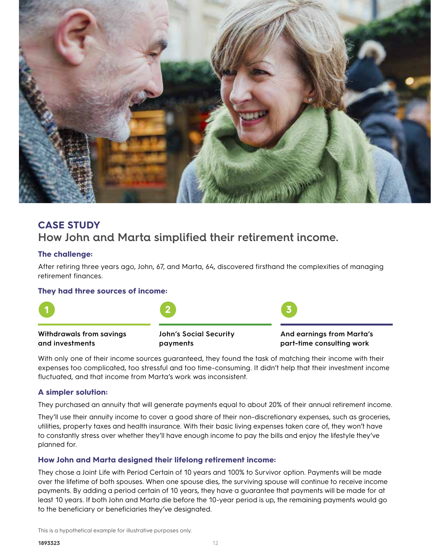

### **CASE STUDY How John and Marta simplified their retirement income.**

### **The challenge:**

After retiring three years ago, John, 67, and Marta, 64, discovered firsthand the complexities of managing retirement finances.

### **They had three sources of income:**



With only one of their income sources guaranteed, they found the task of matching their income with their expenses too complicated, too stressful and too time-consuming. It didn't help that their investment income fluctuated, and that income from Marta's work was inconsistent.

### **A simpler solution:**

They purchased an annuity that will generate payments equal to about 20% of their annual retirement income.

They'll use their annuity income to cover a good share of their non-discretionary expenses, such as groceries, utilities, property taxes and health insurance. With their basic living expenses taken care of, they won't have to constantly stress over whether they'll have enough income to pay the bills and enjoy the lifestyle they've planned for.

### **How John and Marta designed their lifelong retirement income:**

They chose a Joint Life with Period Certain of 10 years and 100% to Survivor option. Payments will be made over the lifetime of both spouses. When one spouse dies, the surviving spouse will continue to receive income payments. By adding a period certain of 10 years, they have a guarantee that payments will be made for at least 10 years. If both John and Marta die before the 10-year period is up, the remaining payments would go to the beneficiary or beneficiaries they've designated.

This is a hypothetical example for illustrative purposes only.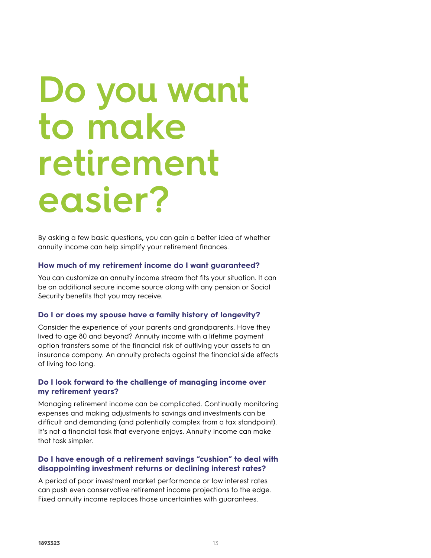# **Do you want to make retirement easier?**

By asking a few basic questions, you can gain a better idea of whether annuity income can help simplify your retirement finances.

#### **How much of my retirement income do I want guaranteed?**

You can customize an annuity income stream that fits your situation. It can be an additional secure income source along with any pension or Social Security benefits that you may receive.

#### **Do I or does my spouse have a family history of longevity?**

Consider the experience of your parents and grandparents. Have they lived to age 80 and beyond? Annuity income with a lifetime payment option transfers some of the financial risk of outliving your assets to an insurance company. An annuity protects against the financial side effects of living too long.

### **Do I look forward to the challenge of managing income over my retirement years?**

Managing retirement income can be complicated. Continually monitoring expenses and making adjustments to savings and investments can be difficult and demanding (and potentially complex from a tax standpoint). It's not a financial task that everyone enjoys. Annuity income can make that task simpler.

### **Do I have enough of a retirement savings "cushion" to deal with disappointing investment returns or declining interest rates?**

A period of poor investment market performance or low interest rates can push even conservative retirement income projections to the edge. Fixed annuity income replaces those uncertainties with guarantees.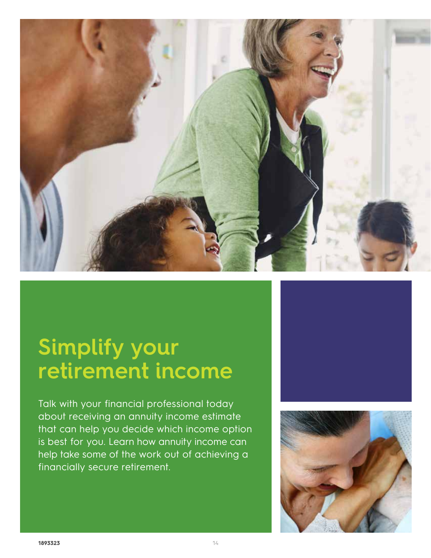

## **Simplify your retirement income**

Talk with your financial professional today about receiving an annuity income estimate that can help you decide which income option is best for you. Learn how annuity income can help take some of the work out of achieving a financially secure retirement.

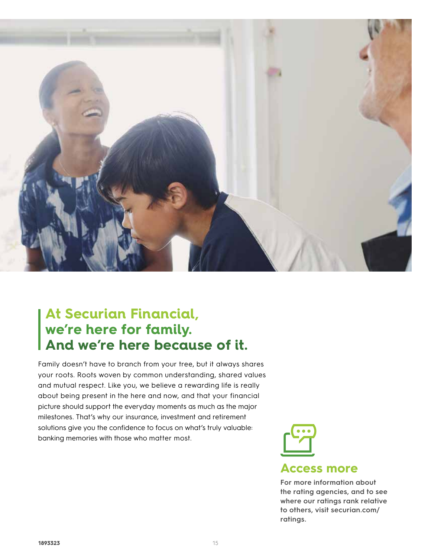

### **At Securian Financial, we're here for family. And we're here because of it.**

Family doesn't have to branch from your tree, but it always shares your roots. Roots woven by common understanding, shared values and mutual respect. Like you, we believe a rewarding life is really about being present in the here and now, and that your financial picture should support the everyday moments as much as the major milestones. That's why our insurance, investment and retirement solutions give you the confidence to focus on what's truly valuable: banking memories with those who matter most.



**the rating agencies, and to see where our ratings rank relative to others, visit securian.com/ ratings.**